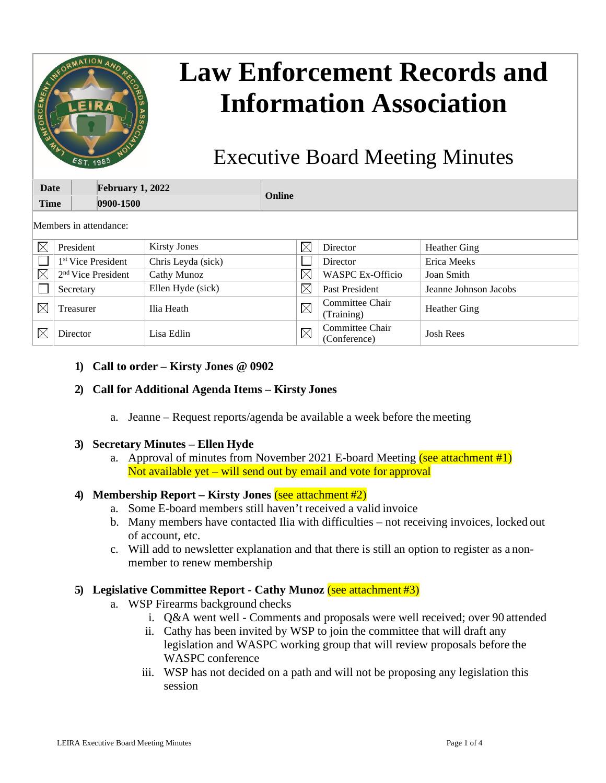|                            | MATION AND<br>EIRA<br>EST. 1985      |                     | <b>Law Enforcement Records and</b><br><b>Information Association</b><br><b>Executive Board Meeting Minutes</b> |             |                                 |                       |  |  |  |  |  |  |  |  |
|----------------------------|--------------------------------------|---------------------|----------------------------------------------------------------------------------------------------------------|-------------|---------------------------------|-----------------------|--|--|--|--|--|--|--|--|
| <b>Date</b><br><b>Time</b> | <b>February 1, 2022</b><br>0900-1500 |                     | Online                                                                                                         |             |                                 |                       |  |  |  |  |  |  |  |  |
|                            | Members in attendance:               |                     |                                                                                                                |             |                                 |                       |  |  |  |  |  |  |  |  |
| $\times$                   | President                            | <b>Kirsty Jones</b> |                                                                                                                | $\boxtimes$ | Director                        | <b>Heather Ging</b>   |  |  |  |  |  |  |  |  |
|                            | 1 <sup>st</sup> Vice President       | Chris Leyda (sick)  |                                                                                                                |             | Director                        | Erica Meeks           |  |  |  |  |  |  |  |  |
| $\times$                   | $2nd$ Vice President                 | <b>Cathy Munoz</b>  |                                                                                                                | $\times$    | <b>WASPC Ex-Officio</b>         | Joan Smith            |  |  |  |  |  |  |  |  |
|                            | Secretary                            | Ellen Hyde (sick)   |                                                                                                                | $\times$    | Past President                  | Jeanne Johnson Jacobs |  |  |  |  |  |  |  |  |
| $\times$                   | Treasurer                            | Ilia Heath          |                                                                                                                | $\boxtimes$ | Committee Chair<br>(Training)   | <b>Heather Ging</b>   |  |  |  |  |  |  |  |  |
| $\times$                   | Director                             | Lisa Edlin          |                                                                                                                | $\times$    | Committee Chair<br>(Conference) | <b>Josh Rees</b>      |  |  |  |  |  |  |  |  |

#### **1) Call to order – Kirsty Jones @ 0902**

#### **2) Call for Additional Agenda Items – Kirsty Jones**

a. Jeanne – Request reports/agenda be available a week before the meeting

#### **3) Secretary Minutes – Ellen Hyde**

a. Approval of minutes from November 2021 E-board Meeting (see attachment #1) Not available yet – will send out by email and vote for approval

#### **4) Membership Report – Kirsty Jones** (see attachment #2)

- a. Some E-board members still haven't received a valid invoice
- b. Many members have contacted Ilia with difficulties not receiving invoices, locked out of account, etc.
- c. Will add to newsletter explanation and that there is still an option to register as a nonmember to renew membership

#### **5) Legislative Committee Report - Cathy Munoz** (see attachment #3)

- a. WSP Firearms background checks
	- i. Q&A went well Comments and proposals were well received; over 90 attended
	- ii. Cathy has been invited by WSP to join the committee that will draft any legislation and WASPC working group that will review proposals before the WASPC conference
	- iii. WSP has not decided on a path and will not be proposing any legislation this session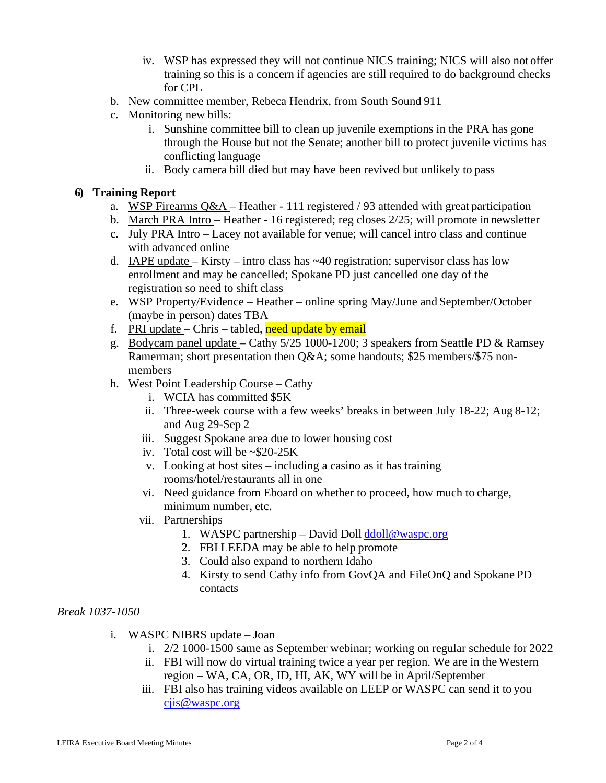- iv. WSP has expressed they will not continue NICS training; NICS will also not offer training so this is a concern if agencies are still required to do background checks for CPL
- b. New committee member, Rebeca Hendrix, from South Sound 911
- c. Monitoring new bills:
	- i. Sunshine committee bill to clean up juvenile exemptions in the PRA has gone through the House but not the Senate; another bill to protect juvenile victims has conflicting language
	- ii. Body camera bill died but may have been revived but unlikely to pass

## **6) Training Report**

- a. WSP Firearms  $Q&A$  Heather 111 registered / 93 attended with great participation
- b. March PRA Intro Heather 16 registered; reg closes 2/25; will promote in newsletter
- c. July PRA Intro Lacey not available for venue; will cancel intro class and continue with advanced online
- d. IAPE update Kirsty intro class has  $\sim$  40 registration; supervisor class has low enrollment and may be cancelled; Spokane PD just cancelled one day of the registration so need to shift class
- e. WSP Property/Evidence Heather online spring May/June and September/October (maybe in person) dates TBA
- f. PRI update Chris tabled, need update by email
- g. Bodycam panel update Cathy 5/25 1000-1200; 3 speakers from Seattle PD & Ramsey Ramerman; short presentation then Q&A; some handouts; \$25 members/\$75 nonmembers
- h. West Point Leadership Course Cathy
	- i. WCIA has committed \$5K
	- ii. Three-week course with a few weeks' breaks in between July 18-22; Aug 8-12; and Aug 29-Sep 2
	- iii. Suggest Spokane area due to lower housing cost
	- iv. Total cost will be ~\$20-25K
	- v. Looking at host sites including a casino as it has training rooms/hotel/restaurants all in one
	- vi. Need guidance from Eboard on whether to proceed, how much to charge, minimum number, etc.
	- vii. Partnerships
		- 1. WASPC partnership David Doll  $\frac{d}{d}$  doll  $\frac{d}{d}$  waspc.org
		- 2. FBI LEEDA may be able to help promote
		- 3. Could also expand to northern Idaho
		- 4. Kirsty to send Cathy info from GovQA and FileOnQ and Spokane PD contacts

#### *Break 1037-1050*

- i. WASPC NIBRS update Joan
	- i. 2/2 1000-1500 same as September webinar; working on regular schedule for 2022
	- ii. FBI will now do virtual training twice a year per region. We are in the Western region – WA, CA, OR, ID, HI, AK, WY will be in April/September
	- iii. FBI also has training videos available on LEEP or WASPC can send it to you [cjis@waspc.org](mailto:cjis@waspc.org)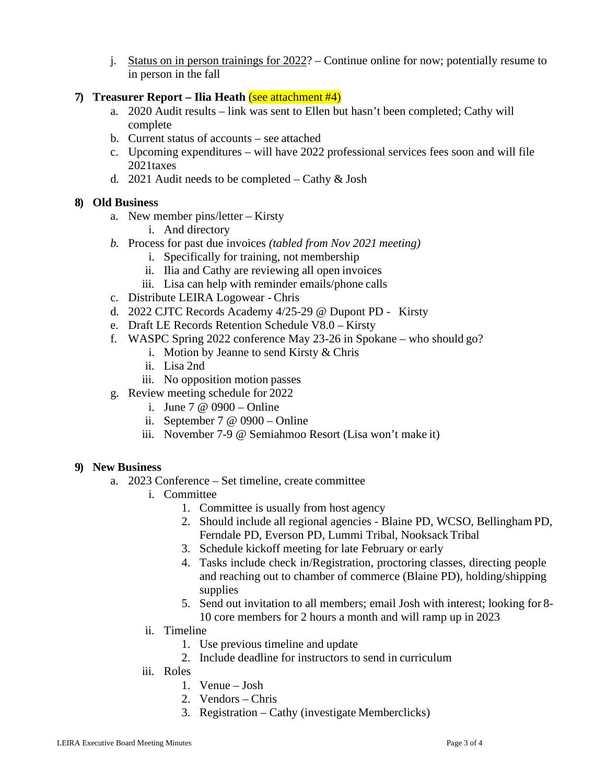j. Status on in person trainings for 2022? – Continue online for now; potentially resume to in person in the fall

## **7) Treasurer Report – Ilia Heath** (see attachment #4)

- a. 2020 Audit results link was sent to Ellen but hasn't been completed; Cathy will complete
- b. Current status of accounts see attached
- c. Upcoming expenditures will have 2022 professional services fees soon and will file 2021taxes
- d. 2021 Audit needs to be completed Cathy & Josh

## **8) Old Business**

- a. New member pins/letter Kirsty
	- i. And directory
- *b.* Process for past due invoices *(tabled from Nov 2021 meeting)*
	- i. Specifically for training, not membership
	- ii. Ilia and Cathy are reviewing all open invoices
	- iii. Lisa can help with reminder emails/phone calls
- c. Distribute LEIRA Logowear Chris
- d. 2022 CJTC Records Academy 4/25-29 @ Dupont PD Kirsty
- e. Draft LE Records Retention Schedule V8.0 Kirsty
- f. WASPC Spring 2022 conference May 23-26 in Spokane who should go?
	- i. Motion by Jeanne to send Kirsty & Chris
	- ii. Lisa 2nd
	- iii. No opposition motion passes
- g. Review meeting schedule for 2022
	- i. June 7 @ 0900 Online
	- ii. September 7 @ 0900 Online
	- iii. November 7-9 @ Semiahmoo Resort (Lisa won't make it)

#### **9) New Business**

- a. 2023 Conference Set timeline, create committee
	- i. Committee
		- 1. Committee is usually from host agency
		- 2. Should include all regional agencies Blaine PD, WCSO, Bellingham PD, Ferndale PD, Everson PD, Lummi Tribal, Nooksack Tribal
		- 3. Schedule kickoff meeting for late February or early
		- 4. Tasks include check in/Registration, proctoring classes, directing people and reaching out to chamber of commerce (Blaine PD), holding/shipping supplies
		- 5. Send out invitation to all members; email Josh with interest; looking for 8- 10 core members for 2 hours a month and will ramp up in 2023
	- ii. Timeline
		- 1. Use previous timeline and update
		- 2. Include deadline for instructors to send in curriculum
	- iii. Roles
		- 1. Venue Josh
		- 2. Vendors Chris
		- 3. Registration Cathy (investigate Memberclicks)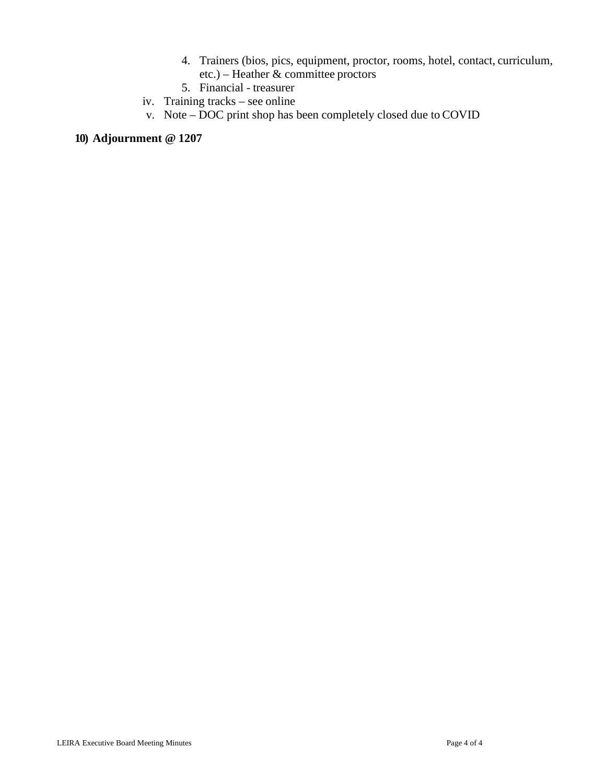- 4. Trainers (bios, pics, equipment, proctor, rooms, hotel, contact, curriculum, etc.) – Heather & committee proctors
- 5. Financial treasurer
- iv. Training tracks see online
- v. Note DOC print shop has been completely closed due to COVID

# **10) Adjournment @ 1207**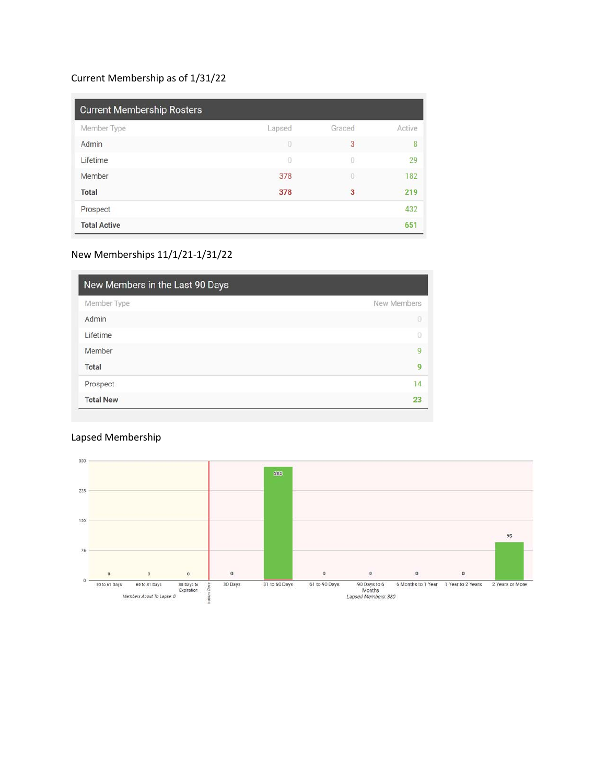# Current Membership as of 1/31/22

| <b>Current Membership Rosters</b> |        |                |        |  |  |  |  |  |  |  |
|-----------------------------------|--------|----------------|--------|--|--|--|--|--|--|--|
| Member Type                       | Lapsed | Graced         | Active |  |  |  |  |  |  |  |
| Admin                             | 0      | 3              | 8      |  |  |  |  |  |  |  |
| Lifetime                          | 0      | 0              | 29     |  |  |  |  |  |  |  |
| Member                            | 378    | $\overline{0}$ | 182    |  |  |  |  |  |  |  |
| Total                             | 378    | 3              | 219    |  |  |  |  |  |  |  |
| Prospect                          |        |                | 432    |  |  |  |  |  |  |  |
| <b>Total Active</b>               |        |                | 651    |  |  |  |  |  |  |  |

## New Memberships 11/1/21-1/31/22

| New Members in the Last 90 Days |             |  |  |  |  |  |  |  |
|---------------------------------|-------------|--|--|--|--|--|--|--|
| Member Type                     | New Members |  |  |  |  |  |  |  |
| Admin                           | O           |  |  |  |  |  |  |  |
| Lifetime                        | o           |  |  |  |  |  |  |  |
| Member                          | 9           |  |  |  |  |  |  |  |
| Total                           | 9           |  |  |  |  |  |  |  |
| Prospect                        | 14          |  |  |  |  |  |  |  |
| <b>Total New</b>                | 23          |  |  |  |  |  |  |  |

# Lapsed Membership

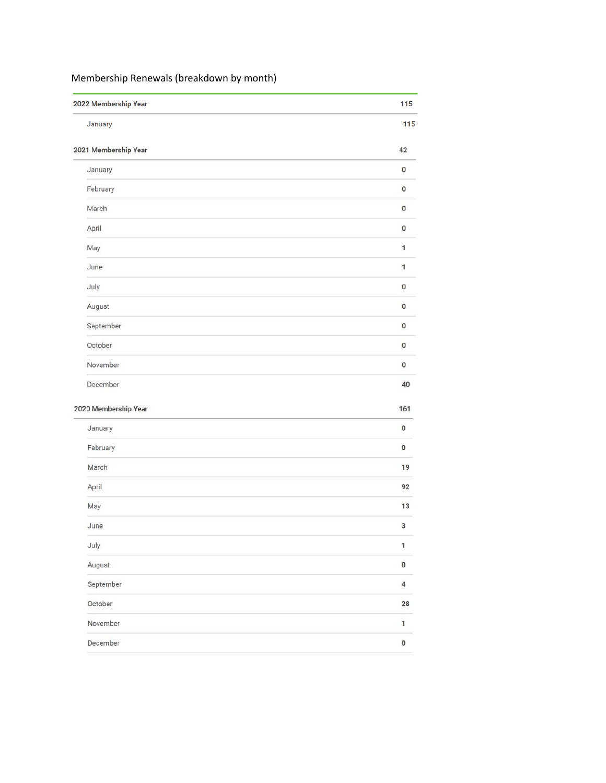# Membership Renewals (breakdown by month)

| 2022 Membership Year | 115            |
|----------------------|----------------|
| January              | 115            |
| 2021 Membership Year | 42             |
| January              | 0              |
| February             | $\pmb{0}$      |
| March                | 0              |
| April                | O              |
| May                  | 1              |
| June                 | $\mathbf{1}$   |
| July                 | 0              |
| August               | 0              |
| September            | 0              |
| October              | 0              |
| November             | 0              |
| December             | 40             |
| 2020 Membership Year | 161            |
| January              | $\bf{0}$       |
| February             | $\bf{0}$       |
| March                | 19             |
| April                | 92             |
| May                  | 13             |
| June                 | 3              |
| July                 | $\mathbf 1$    |
| August               | $\pmb{0}$      |
| September            | $\overline{4}$ |
| October              | 28             |
| November             | 1              |
| December             | $\pmb{0}$      |
|                      |                |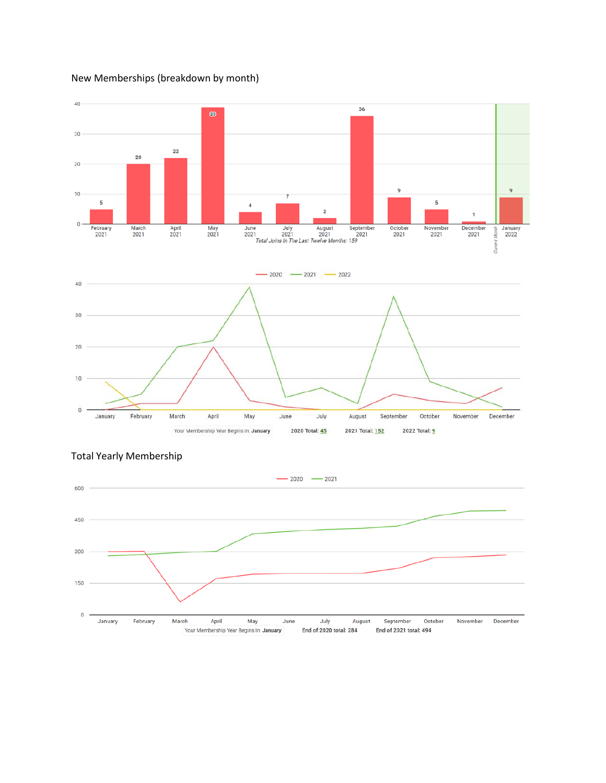New Memberships (breakdown by month)





#### Total Yearly Membership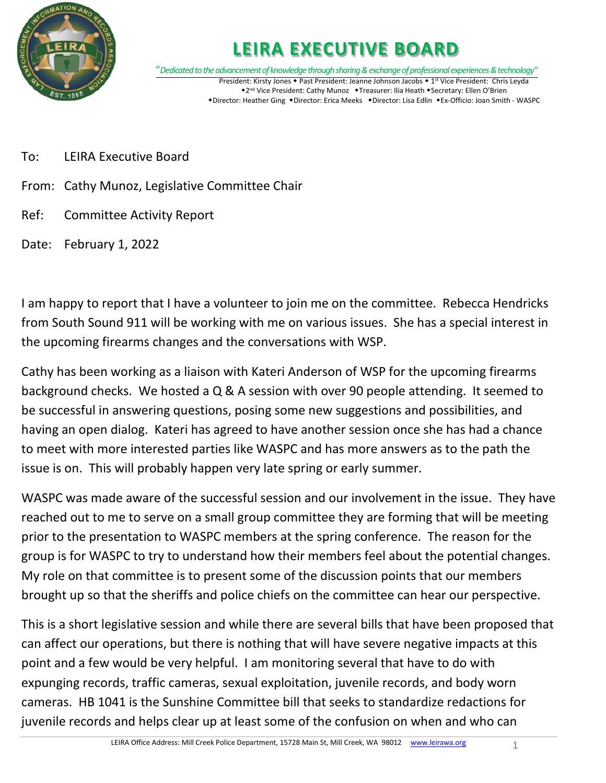

# **LEIRA EXECUTIVE BOARD**

"*Dedicated to the advancement of knowledge through sharing & exchange of professional experiences & technology"* President: Kirsty Jones • Past President: Jeanne Johnson Jacobs • 1<sup>st</sup> Vice President: Chris Leyda \*2<sup>nd</sup> Vice President: Cathy Munoz \*Treasurer: Ilia Heath \*Secretary: Ellen O'Brien \*Director: Heather Ging \*Director: Erica Meeks \*Director: Lisa Edlin \*Ex-Officio: Joan Smith - WASPC

- To: LEIRA Executive Board
- From: Cathy Munoz, Legislative Committee Chair
- Ref: Committee Activity Report
- Date: February 1, 2022

I am happy to report that I have a volunteer to join me on the committee. Rebecca Hendricks from South Sound 911 will be working with me on various issues. She has a special interest in the upcoming firearms changes and the conversations with WSP.

Cathy has been working as a liaison with Kateri Anderson of WSP for the upcoming firearms background checks. We hosted a Q & A session with over 90 people attending. It seemed to be successful in answering questions, posing some new suggestions and possibilities, and having an open dialog. Kateri has agreed to have another session once she has had a chance to meet with more interested parties like WASPC and has more answers as to the path the issue is on. This will probably happen very late spring or early summer.

WASPC was made aware of the successful session and our involvement in the issue. They have reached out to me to serve on a small group committee they are forming that will be meeting prior to the presentation to WASPC members at the spring conference. The reason for the group is for WASPC to try to understand how their members feel about the potential changes. My role on that committee is to present some of the discussion points that our members brought up so that the sheriffs and police chiefs on the committee can hear our perspective.

This is a short legislative session and while there are several bills that have been proposed that can affect our operations, but there is nothing that will have severe negative impacts at this point and a few would be very helpful. I am monitoring several that have to do with expunging records, traffic cameras, sexual exploitation, juvenile records, and body worn cameras. HB 1041 is the Sunshine Committee bill that seeks to standardize redactions for juvenile records and helps clear up at least some of the confusion on when and who can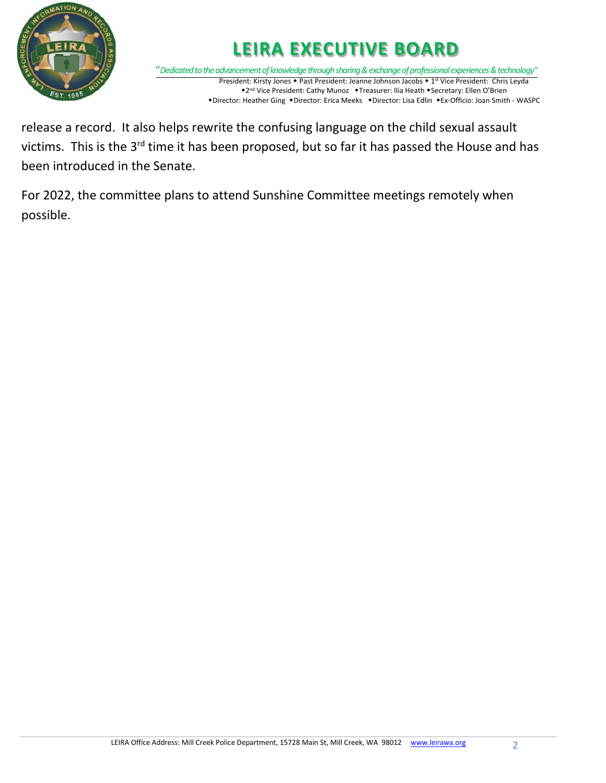

# **LEIRA EXECUTIVE BOARD**

"*Dedicated to the advancement of knowledge through sharing & exchange of professional experiences & technology"* President: Kirsty Jones • Past President: Jeanne Johnson Jacobs • 1<sup>st</sup> Vice President: Chris Leyda \*2<sup>nd</sup> Vice President: Cathy Munoz \*Treasurer: Ilia Heath \*Secretary: Ellen O'Brien \*Director: Heather Ging \*Director: Erica Meeks \*Director: Lisa Edlin \*Ex-Officio: Joan Smith - WASPC

release a record. It also helps rewrite the confusing language on the child sexual assault victims. This is the 3<sup>rd</sup> time it has been proposed, but so far it has passed the House and has been introduced in the Senate.

For 2022, the committee plans to attend Sunshine Committee meetings remotely when possible.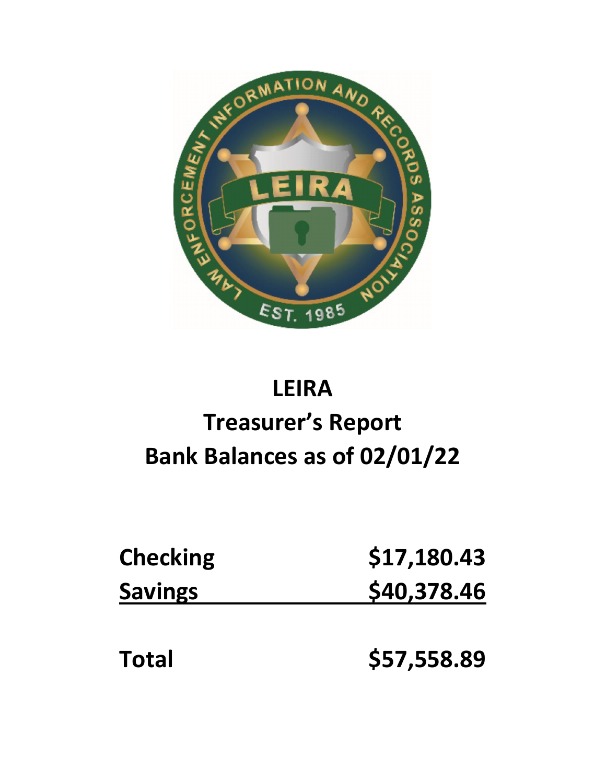

# **LEIRA Treasurer's Report Bank Balances as of 02/01/22**

| <b>Checking</b> | \$17,180.43 |
|-----------------|-------------|
| <b>Savings</b>  | \$40,378.46 |
|                 |             |
| <b>Total</b>    | \$57,558.89 |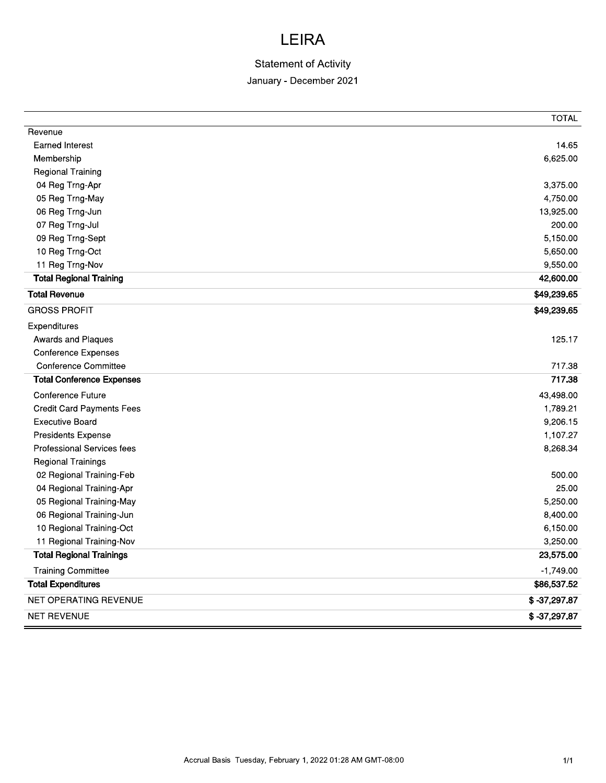# LEIKA

# Statement of Activity

# January - December 2021

|                                                        |                                                            | <b>TOTAL</b>               |
|--------------------------------------------------------|------------------------------------------------------------|----------------------------|
| Revenue                                                |                                                            |                            |
| <b>Earned Interest</b>                                 |                                                            | 14.65                      |
| Membership                                             |                                                            | 6,625.00                   |
| <b>Regional Training</b>                               |                                                            |                            |
| 04 Reg Trng-Apr                                        |                                                            | 3,375.00                   |
| 05 Reg Trng-May                                        |                                                            | 4,750.00                   |
| 06 Reg Trng-Jun                                        |                                                            | 13,925.00                  |
| 07 Reg Trng-Jul                                        |                                                            | 200.00                     |
| 09 Reg Trng-Sept                                       |                                                            | 5,150.00                   |
| 10 Reg Trng-Oct                                        |                                                            | 5,650.00                   |
| 11 Reg Trng-Nov                                        |                                                            | 9,550.00                   |
| <b>Total Regional Training</b>                         |                                                            | 42,600.00                  |
| <b>Total Revenue</b>                                   |                                                            | \$49,239.65                |
| <b>GROSS PROFIT</b>                                    |                                                            | \$49,239.65                |
| Expenditures                                           |                                                            |                            |
| Awards and Plaques                                     |                                                            | 125.17                     |
| Conference Expenses                                    |                                                            |                            |
| <b>Conference Committee</b>                            |                                                            | 717.38                     |
| <b>Total Conference Expenses</b>                       |                                                            | 717.38                     |
| Conference Future                                      |                                                            | 43,498.00                  |
| <b>Credit Card Payments Fees</b>                       |                                                            | 1,789.21                   |
| <b>Executive Board</b>                                 |                                                            | 9,206.15                   |
| Presidents Expense                                     |                                                            | 1,107.27                   |
| Professional Services fees                             |                                                            | 8,268.34                   |
| Regional Trainings                                     |                                                            |                            |
| 02 Regional Training-Feb                               |                                                            | 500.00                     |
| 04 Regional Training-Apr                               |                                                            | 25.00                      |
| 05 Regional Training-May                               |                                                            | 5,250.00                   |
| 06 Regional Training-Jun                               |                                                            | 8,400.00                   |
| 10 Regional Training-Oct                               |                                                            | 6,150.00                   |
| 11 Regional Training-Nov                               |                                                            | 3,250.00                   |
| <b>Total Regional Trainings</b>                        |                                                            | 23,575.00                  |
|                                                        |                                                            |                            |
| <b>Training Committee</b><br><b>Total Expenditures</b> |                                                            | $-1,749.00$<br>\$86,537.52 |
| NET OPERATING REVENUE                                  |                                                            | $$ -37,297.87$             |
| NET REVENUE                                            |                                                            | $$ -37,297.87$             |
|                                                        |                                                            |                            |
|                                                        |                                                            |                            |
|                                                        | Accrual Basis Tuesday, February 1, 2022 01:28 AM GMT-08:00 | $1/1$                      |